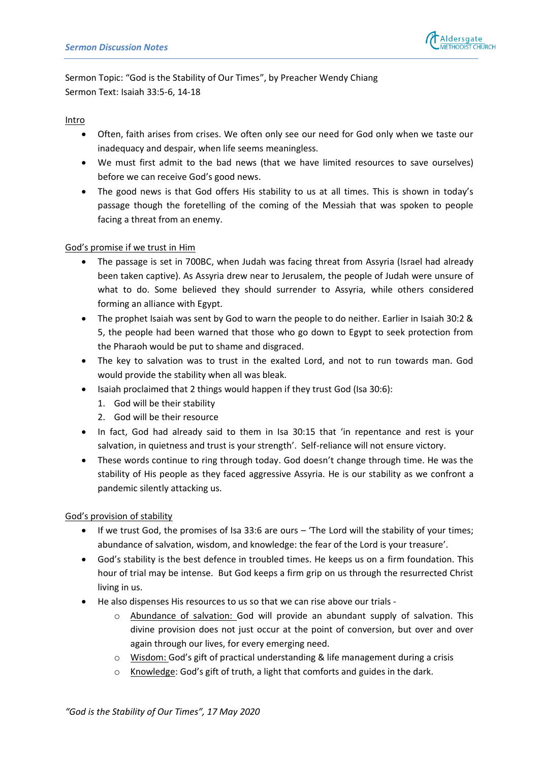

Sermon Topic: "God is the Stability of Our Times", by Preacher Wendy Chiang Sermon Text: Isaiah 33:5-6, 14-18

### **Intro**

- Often, faith arises from crises. We often only see our need for God only when we taste our inadequacy and despair, when life seems meaningless.
- We must first admit to the bad news (that we have limited resources to save ourselves) before we can receive God's good news.
- The good news is that God offers His stability to us at all times. This is shown in today's passage though the foretelling of the coming of the Messiah that was spoken to people facing a threat from an enemy.

# God's promise if we trust in Him

- The passage is set in 700BC, when Judah was facing threat from Assyria (Israel had already been taken captive). As Assyria drew near to Jerusalem, the people of Judah were unsure of what to do. Some believed they should surrender to Assyria, while others considered forming an alliance with Egypt.
- The prophet Isaiah was sent by God to warn the people to do neither. Earlier in Isaiah 30:2 & 5, the people had been warned that those who go down to Egypt to seek protection from the Pharaoh would be put to shame and disgraced.
- The key to salvation was to trust in the exalted Lord, and not to run towards man. God would provide the stability when all was bleak.
- Isaiah proclaimed that 2 things would happen if they trust God (Isa 30:6):
	- 1. God will be their stability
	- 2. God will be their resource
- In fact, God had already said to them in Isa 30:15 that 'in repentance and rest is your salvation, in quietness and trust is your strength'. Self-reliance will not ensure victory.
- These words continue to ring through today. God doesn't change through time. He was the stability of His people as they faced aggressive Assyria. He is our stability as we confront a pandemic silently attacking us.

God's provision of stability

- If we trust God, the promises of Isa 33:6 are ours 'The Lord will the stability of your times; abundance of salvation, wisdom, and knowledge: the fear of the Lord is your treasure'.
- God's stability is the best defence in troubled times. He keeps us on a firm foundation. This hour of trial may be intense. But God keeps a firm grip on us through the resurrected Christ living in us.
- He also dispenses His resources to us so that we can rise above our trials
	- o Abundance of salvation: God will provide an abundant supply of salvation. This divine provision does not just occur at the point of conversion, but over and over again through our lives, for every emerging need.
	- o Wisdom: God's gift of practical understanding & life management during a crisis
	- o Knowledge: God's gift of truth, a light that comforts and guides in the dark.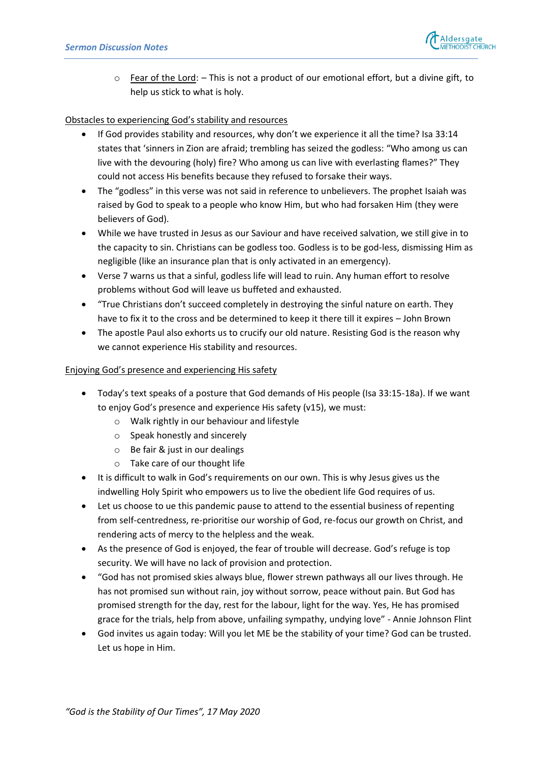

 $\circ$  Fear of the Lord:  $-$  This is not a product of our emotional effort, but a divine gift, to help us stick to what is holy.

# Obstacles to experiencing God's stability and resources

- If God provides stability and resources, why don't we experience it all the time? Isa 33:14 states that 'sinners in Zion are afraid; trembling has seized the godless: "Who among us can live with the devouring (holy) fire? Who among us can live with everlasting flames?" They could not access His benefits because they refused to forsake their ways.
- The "godless" in this verse was not said in reference to unbelievers. The prophet Isaiah was raised by God to speak to a people who know Him, but who had forsaken Him (they were believers of God).
- While we have trusted in Jesus as our Saviour and have received salvation, we still give in to the capacity to sin. Christians can be godless too. Godless is to be god-less, dismissing Him as negligible (like an insurance plan that is only activated in an emergency).
- Verse 7 warns us that a sinful, godless life will lead to ruin. Any human effort to resolve problems without God will leave us buffeted and exhausted.
- "True Christians don't succeed completely in destroying the sinful nature on earth. They have to fix it to the cross and be determined to keep it there till it expires – John Brown
- The apostle Paul also exhorts us to crucify our old nature. Resisting God is the reason why we cannot experience His stability and resources.

# Enjoying God's presence and experiencing His safety

- Today's text speaks of a posture that God demands of His people (Isa 33:15-18a). If we want to enjoy God's presence and experience His safety (v15), we must:
	- o Walk rightly in our behaviour and lifestyle
	- o Speak honestly and sincerely
	- o Be fair & just in our dealings
	- o Take care of our thought life
- It is difficult to walk in God's requirements on our own. This is why Jesus gives us the indwelling Holy Spirit who empowers us to live the obedient life God requires of us.
- Let us choose to ue this pandemic pause to attend to the essential business of repenting from self-centredness, re-prioritise our worship of God, re-focus our growth on Christ, and rendering acts of mercy to the helpless and the weak.
- As the presence of God is enjoyed, the fear of trouble will decrease. God's refuge is top security. We will have no lack of provision and protection.
- "God has not promised skies always blue, flower strewn pathways all our lives through. He has not promised sun without rain, joy without sorrow, peace without pain. But God has promised strength for the day, rest for the labour, light for the way. Yes, He has promised grace for the trials, help from above, unfailing sympathy, undying love" - Annie Johnson Flint
- God invites us again today: Will you let ME be the stability of your time? God can be trusted. Let us hope in Him.